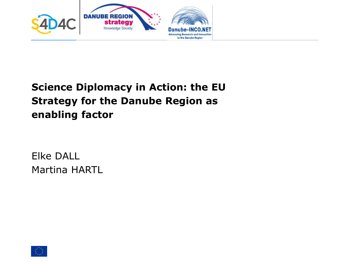

# **Science Diplomacy in Action: the EU Strategy for the Danube Region as enabling factor**

Elke DALL Martina HARTL

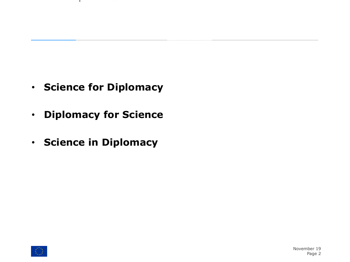• **Science for Diplomacy**

 $\mathbf{I}$ 

- **Diplomacy for Science**
- **Science in Diplomacy**

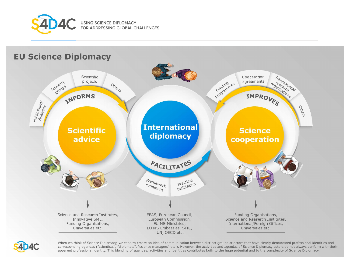

#### **EU Science Diplomacy**





When we think of Science Diplomacy, we tend to create an idea of communication between distinct groups of actors that have clearly demarcated professional identities and corresponding agendas ("sciencists", "diplomats", "science managers" etc.). However, the accivities and agendas or Science Diplomacy actors do not always comonin<br>Apparent professional identity. This blending of agendas, ac Page research and innovation programme under grant agreement No 770342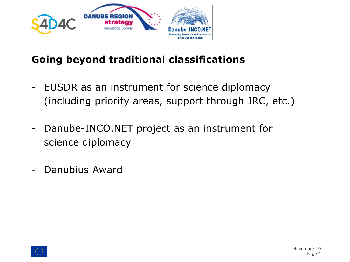

## **Going beyond traditional classifications**

- EUSDR as an instrument for science diplomacy (including priority areas, support through JRC, etc.)
- Danube-INCO.NET project as an instrument for science diplomacy
- Danubius Award

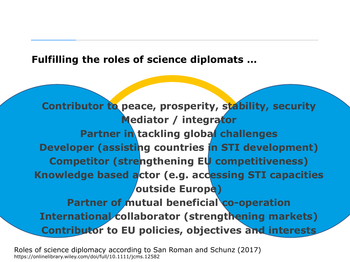### **Fulfilling the roles of science diplomats …**

**Contributor to peace, prosperity, stability, security Mediator / integrator Partner in tackling global challenges Developer (assisting countries in STI development) Competitor (strengthening EU competitiveness) Knowledge based actor (e.g. accessing STI capacities outside Europe) Partner of mutual beneficial co-operation International collaborator (strengthening markets) Contributor to EU policies, objectives and interests**

Roles of science diplomacy according to San Roman and Schunz (2017) https://onlinelibrary.wiley.com/doi/full/10.1111/jcms.12582